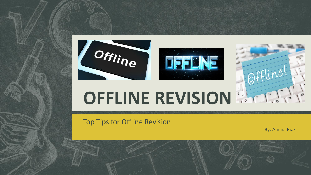

Top Tips for Offline Revision

By: Amina Riaz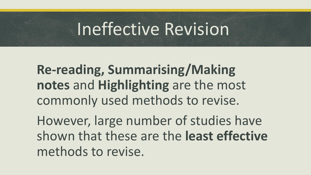#### Ineffective Revision

**Re-reading, Summarising/Making notes** and **Highlighting** are the most commonly used methods to revise.

However, large number of studies have shown that these are the **least effective** methods to revise.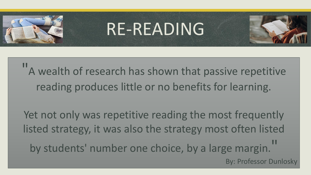

## RE-READING

"A wealth of research has shown that passive repetitive reading produces little or no benefits for learning.

Yet not only was repetitive reading the most frequently listed strategy, it was also the strategy most often listed by students' number one choice, by a large margin. By: Professor Dunlosky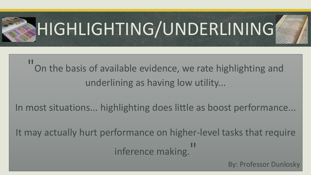

" On the basis of available evidence, we rate highlighting and underlining as having low utility...

In most situations... highlighting does little as boost performance...

It may actually hurt performance on higher-level tasks that require Inference making.<sup>11</sup>

By: Professor Dunlosky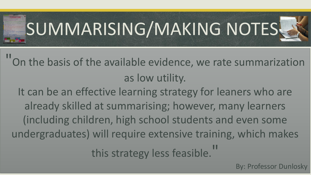

"On the basis of the available evidence, we rate summarization as low utility.

It can be an effective learning strategy for leaners who are already skilled at summarising; however, many learners (including children, high school students and even some undergraduates) will require extensive training, which makes

this strategy less feasible."

By: Professor Dunlosky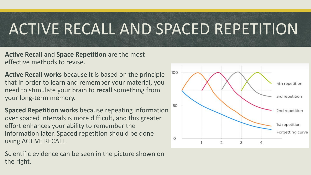#### ACTIVE RECALL AND SPACED REPETITION

**Active Recall** and **Space Repetition** are the most effective methods to revise.

- **Active Recall works** because it is based on the principle that in order to learn and remember your material, you need to stimulate your brain to **recall** something from your long-term memory.
- **Spaced Repetition works** because repeating information over spaced intervals is more difficult, and this greater effort enhances your ability to remember the information later. Spaced repetition should be done using ACTIVE RECALL.

Scientific evidence can be seen in the picture shown on the right.

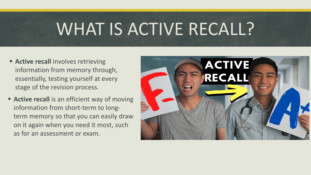### WHAT IS ACTIVE RECALL?

- **EXECTE:** Active recall involves retrieving information from memory through, essentially, testing yourself at every stage of the revision process.
- **EXECT** Active recall is an efficient way of moving information from short-term to longterm memory so that you can easily draw on it again when you need it most, such as for an assessment or exam.

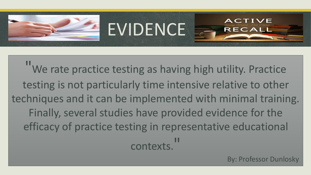

"We rate practice testing as having high utility. Practice testing is not particularly time intensive relative to other techniques and it can be implemented with minimal training. Finally, several studies have provided evidence for the efficacy of practice testing in representative educational contexts. "

EVIDENCE

By: Professor Dunlosky

EC A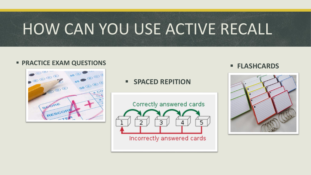#### HOW CAN YOU USE ACTIVE RECALL

#### ■ PRACTICE EXAM QUESTIONS ■ PRACTICE EXAM QUESTIONS



▪ **SPACED REPITION**



Incorrectly answered cards